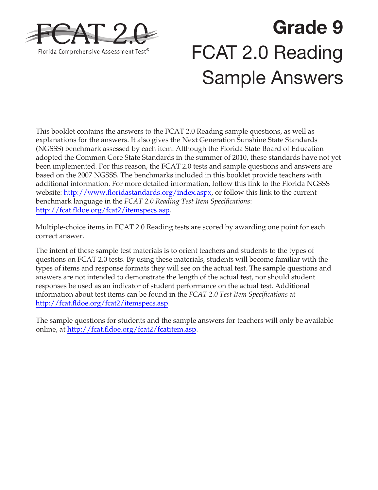

# **Grade 9**  FCAT 2.0 Reading Sample Answers

This booklet contains the answers to the FCAT 2.0 Reading sample questions, as well as explanations for the answers. It also gives the Next Generation Sunshine State Standards (NGSSS) benchmark assessed by each item. Although the Florida State Board of Education adopted the Common Core State Standards in the summer of 2010, these standards have not yet been implemented. For this reason, the FCAT 2.0 tests and sample questions and answers are based on the 2007 NGSSS. The benchmarks included in this booklet provide teachers with additional information. For more detailed information, follow this link to the Florida NGSSS website: [http://www.floridastandards.org/index.aspx,](http://www.floridastandards.org/index.aspx) or follow this link to the current benchmark language in the *FCAT 2.0 Reading Test Item Specifications*: [http://fcat.fldoe.org/fcat2/itemspecs.asp.](http://fcat.fldoe.org/fcat2/itemspecs.asp)

Multiple-choice items in FCAT 2.0 Reading tests are scored by awarding one point for each correct answer.

The intent of these sample test materials is to orient teachers and students to the types of questions on FCAT 2.0 tests. By using these materials, students will become familiar with the types of items and response formats they will see on the actual test. The sample questions and answers are not intended to demonstrate the length of the actual test, nor should student responses be used as an indicator of student performance on the actual test. Additional information about test items can be found in the *FCAT 2.0 Test Item Specifications* at <http://fcat.fldoe.org/fcat2/itemspecs.asp>.

The sample questions for students and the sample answers for teachers will only be available online, at<http://fcat.fldoe.org/fcat2/fcatitem.asp>.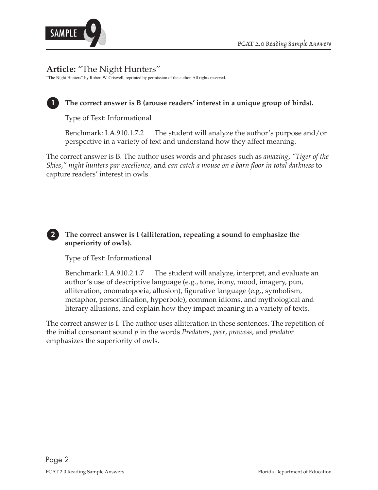



# **Article:** "The Night Hunters"

"The Night Hunters" by Robert W. Criswell, reprinted by permission of the author. All rights reserved.



# **1 The correct answer is B (arouse readers' interest in a unique group of birds).**

Type of Text: Informational

Benchmark: LA.910.1.7.2 The student will analyze the author's purpose and/or perspective in a variety of text and understand how they affect meaning.

The correct answer is B. The author uses words and phrases such as *amazing*, *"Tiger of the Skies*,*" night hunters par excellence*, and *can catch a mouse on a barn floor in total darkness* to capture readers' interest in owls.

# **2 The correct answer is I (alliteration, repeating a sound to emphasize the superiority of owls).**

Type of Text: Informational

Benchmark: LA.910.2.1.7 The student will analyze, interpret, and evaluate an author's use of descriptive language (e.g., tone, irony, mood, imagery, pun, alliteration, onomatopoeia, allusion), figurative language (e.g., symbolism, metaphor, personification, hyperbole), common idioms, and mythological and literary allusions, and explain how they impact meaning in a variety of texts.

The correct answer is I. The author uses alliteration in these sentences. The repetition of the initial consonant sound *p* in the words *Predators*, *peer*, *prowess*, and *predator*  emphasizes the superiority of owls.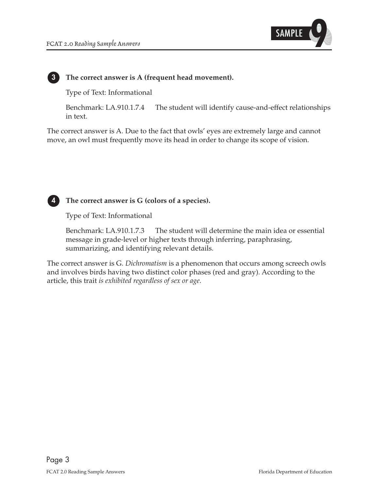

#### **3 The correct answer is A (frequent head movement).**

Type of Text: Informational

Benchmark: LA.910.1.7.4 The student will identify cause-and-effect relationships in text.

The correct answer is A. Due to the fact that owls' eyes are extremely large and cannot move, an owl must frequently move its head in order to change its scope of vision.



 **4 The correct answer is G (colors of a species).** 

Type of Text: Informational

Benchmark: LA.910.1.7.3 The student will determine the main idea or essential message in grade-level or higher texts through inferring, paraphrasing, summarizing, and identifying relevant details.

The correct answer is G. *Dichromatism* is a phenomenon that occurs among screech owls and involves birds having two distinct color phases (red and gray). According to the article, this trait *is exhibited regardless of sex or age*.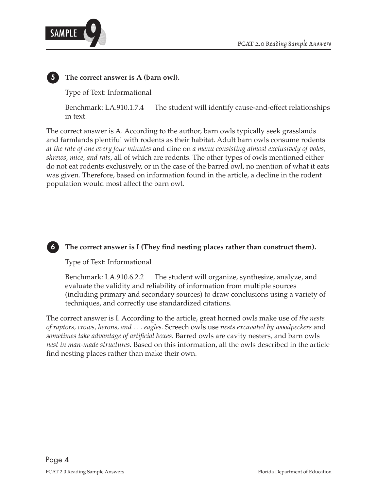



# **5 The correct answer is A (barn owl).**

Type of Text: Informational

Benchmark: LA.910.1.7.4 The student will identify cause-and-effect relationships in text.

The correct answer is A. According to the author, barn owls typically seek grasslands and farmlands plentiful with rodents as their habitat. Adult barn owls consume rodents *at the rate of one every four minutes* and dine on *a menu consisting almost exclusively of voles, shrews, mice, and rats,* all of which are rodents. The other types of owls mentioned either do not eat rodents exclusively, or in the case of the barred owl, no mention of what it eats was given. Therefore, based on information found in the article, a decline in the rodent population would most affect the barn owl.



# **6 The correct answer is I (They find nesting places rather than construct them).**

Type of Text: Informational

Benchmark: LA.910.6.2.2 The student will organize, synthesize, analyze, and evaluate the validity and reliability of information from multiple sources (including primary and secondary sources) to draw conclusions using a variety of techniques, and correctly use standardized citations.

The correct answer is I. According to the article, great horned owls make use of *the nests of raptors, crows, herons, and . . . eagles.* Screech owls use *nests excavated by woodpeckers* and *sometimes take advantage of artificial boxes.* Barred owls are cavity nesters*,* and barn owls *nest in man-made structures.* Based on this information, all the owls described in the article find nesting places rather than make their own.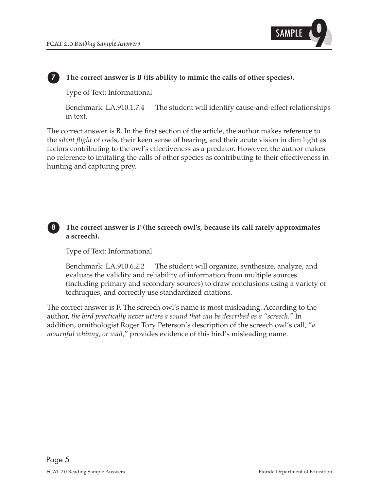

# **7 The correct answer is B (its ability to mimic the calls of other species).**

Type of Text: Informational

Benchmark: LA.910.1.7.4 The student will identify cause-and-effect relationships in text.

The correct answer is B. In the first section of the article, the author makes reference to the *silent flight* of owls, their keen sense of hearing, and their acute vision in dim light as factors contributing to the owl's effectiveness as a predator. However, the author makes no reference to imitating the calls of other species as contributing to their effectiveness in hunting and capturing prey.



Type of Text: Informational

Benchmark: LA.910.6.2.2 The student will organize, synthesize, analyze, and evaluate the validity and reliability of information from multiple sources (including primary and secondary sources) to draw conclusions using a variety of techniques, and correctly use standardized citations.

The correct answer is F. The screech owl's name is most misleading. According to the author, *the bird practically never utters a sound that can be described as a "screech."* In addition, ornithologist Roger Tory Peterson's description of the screech owl's call, "*a mournful whinny*, *or wail*," provides evidence of this bird's misleading name.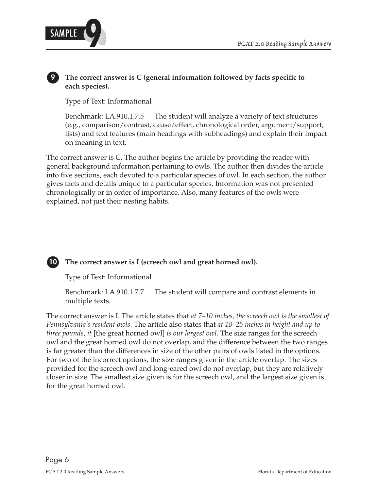

#### **9 The correct answer is C (general information followed by facts specific to each species).**

Type of Text: Informational

Benchmark: LA.910.1.7.5 The student will analyze a variety of text structures (e.g., comparison/contrast, cause/effect, chronological order, argument/support, lists) and text features (main headings with subheadings) and explain their impact on meaning in text.

The correct answer is C. The author begins the article by providing the reader with general background information pertaining to owls. The author then divides the article into five sections, each devoted to a particular species of owl. In each section, the author gives facts and details unique to a particular species. Information was not presented chronologically or in order of importance. Also, many features of the owls were explained, not just their nesting habits.

# **10 The correct answer is I (screech owl and great horned owl).**

Type of Text: Informational

Benchmark: LA.910.1.7.7 The student will compare and contrast elements in multiple texts.

The correct answer is I. The article states that *at 7–10 inches, the screech owl is the smallest of Pennsylvania's resident owls*. The article also states that *at 18–25 inches in height and up to three pounds, it* [the great horned owl] *is our largest owl*. The size ranges for the screech owl and the great horned owl do not overlap, and the difference between the two ranges is far greater than the differences in size of the other pairs of owls listed in the options. For two of the incorrect options, the size ranges given in the article overlap. The sizes provided for the screech owl and long-eared owl do not overlap, but they are relatively closer in size. The smallest size given is for the screech owl, and the largest size given is for the great horned owl.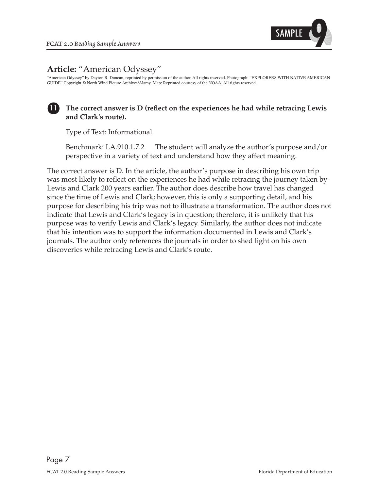

# **Article:** "American Odyssey"

"American Odyssey" by Dayton R. Duncan, reprinted by permission of the author. All rights reserved. Photograph: "EXPLORERS WITH NATIVE AMERICAN GUIDE" Copyright © North Wind Picture Archives/Alamy. Map: Reprinted courtesy of the NOAA. All rights reserved.

#### **11 The correct answer is D (reflect on the experiences he had while retracing Lewis and Clark's route).**

Type of Text: Informational

Benchmark: LA.910.1.7.2 The student will analyze the author's purpose and/or perspective in a variety of text and understand how they affect meaning.

The correct answer is D. In the article, the author's purpose in describing his own trip was most likely to reflect on the experiences he had while retracing the journey taken by Lewis and Clark 200 years earlier. The author does describe how travel has changed since the time of Lewis and Clark; however, this is only a supporting detail, and his purpose for describing his trip was not to illustrate a transformation. The author does not indicate that Lewis and Clark's legacy is in question; therefore, it is unlikely that his purpose was to verify Lewis and Clark's legacy. Similarly, the author does not indicate that his intention was to support the information documented in Lewis and Clark's journals. The author only references the journals in order to shed light on his own discoveries while retracing Lewis and Clark's route.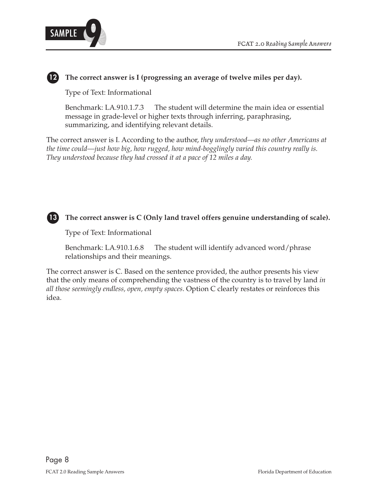

# **12 The correct answer is I (progressing an average of twelve miles per day).**

Type of Text: Informational

Benchmark: LA.910.1.7.3 The student will determine the main idea or essential message in grade-level or higher texts through inferring, paraphrasing, summarizing, and identifying relevant details.

The correct answer is I. According to the author, *they understood––as no other Americans at the time could––just how big, how rugged, how mind-bogglingly varied this country really is. They understood because they had crossed it at a pace of 12 miles a day.* 



Type of Text: Informational

Benchmark: LA.910.1.6.8 The student will identify advanced word/phrase relationships and their meanings.

The correct answer is C. Based on the sentence provided, the author presents his view that the only means of comprehending the vastness of the country is to travel by land *in all those seemingly endless, open, empty spaces*. Option C clearly restates or reinforces this idea.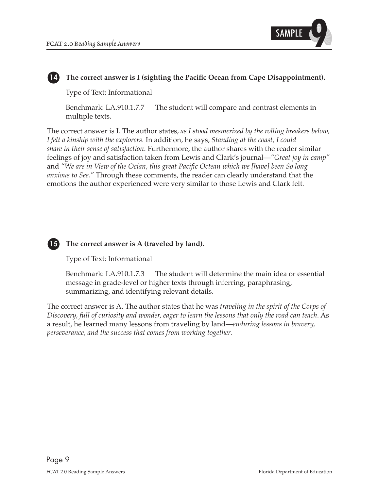

#### **14 The correct answer is I (sighting the Pacific Ocean from Cape Disappointment).**

Type of Text: Informational

Benchmark: LA.910.1.7.7 The student will compare and contrast elements in multiple texts.

The correct answer is I. The author states, *as I stood mesmerized by the rolling breakers below, I felt a kinship with the explorers.* In addition, he says, *Standing at the coast, I could share in their sense of satisfaction*. Furthermore, the author shares with the reader similar feelings of joy and satisfaction taken from Lewis and Clark's journal—*"Great joy in camp"*  and *"We are in View of the Ocian, this great Pacific Octean which we [have] been So long anxious to See*.*"* Through these comments, the reader can clearly understand that the emotions the author experienced were very similar to those Lewis and Clark felt.



#### **15 The correct answer is A (traveled by land).**

Type of Text: Informational

Benchmark: LA.910.1.7.3 The student will determine the main idea or essential message in grade-level or higher texts through inferring, paraphrasing, summarizing, and identifying relevant details.

The correct answer is A. The author states that he was *traveling in the spirit of the Corps of Discovery, full of curiosity and wonder, eager to learn the lessons that only the road can teach*. As a result, he learned many lessons from traveling by land—*enduring lessons in bravery, perseverance, and the success that comes from working together*.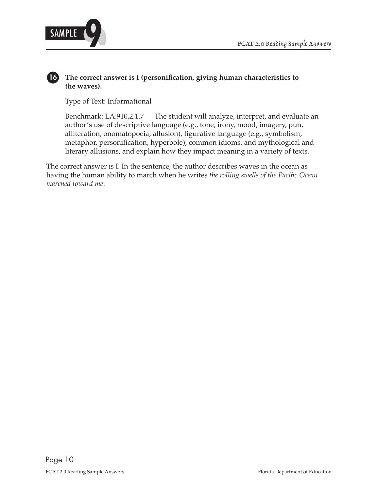

#### **16 The correct answer is I (personification, giving human characteristics to the waves).**

Type of Text: Informational

Benchmark: LA.910.2.1.7 The student will analyze, interpret, and evaluate an author's use of descriptive language (e.g., tone, irony, mood, imagery, pun, alliteration, onomatopoeia, allusion), figurative language (e.g., symbolism, metaphor, personification, hyperbole), common idioms, and mythological and literary allusions, and explain how they impact meaning in a variety of texts.

The correct answer is I. In the sentence, the author describes waves in the ocean as having the human ability to march when he writes *the rolling swells of the Pacific Ocean marched toward me*.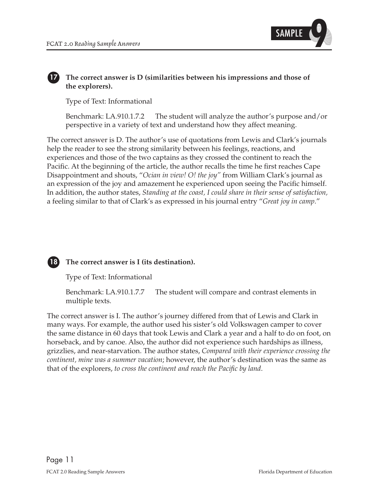

#### **17 The correct answer is D (similarities between his impressions and those of the explorers).**

Type of Text: Informational

Benchmark: LA.910.1.7.2 The student will analyze the author's purpose and/or perspective in a variety of text and understand how they affect meaning.

The correct answer is D. The author's use of quotations from Lewis and Clark's journals help the reader to see the strong similarity between his feelings, reactions, and experiences and those of the two captains as they crossed the continent to reach the Pacific. At the beginning of the article, the author recalls the time he first reaches Cape Disappointment and shouts, "*Ocian in view! O! the joy"* from William Clark's journal as an expression of the joy and amazement he experienced upon seeing the Pacific himself. In addition, the author states, *Standing at the coast, I could share in their sense of satisfaction,*  a feeling similar to that of Clark's as expressed in his journal entry "*Great joy in camp*."

# **18 The correct answer is I (its destination).**

Type of Text: Informational

Benchmark: LA.910.1.7.7 The student will compare and contrast elements in multiple texts.

The correct answer is I. The author's journey differed from that of Lewis and Clark in many ways. For example, the author used his sister's old Volkswagen camper to cover the same distance in 60 days that took Lewis and Clark a year and a half to do on foot, on horseback, and by canoe. Also, the author did not experience such hardships as illness, grizzlies, and near-starvation. The author states, *Compared with their experience crossing the continent, mine was a summer vacation*; however, the author's destination was the same as that of the explorers, *to cross the continent and reach the Pacific by land*.